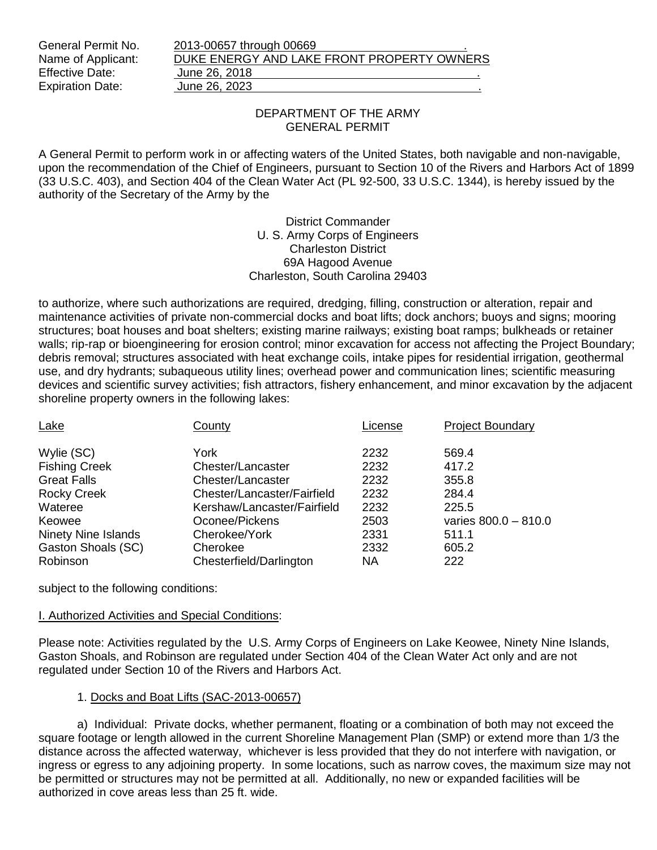| General Permit No.      | 2013-00657 through 00669                   |  |
|-------------------------|--------------------------------------------|--|
| Name of Applicant:      | DUKE ENERGY AND LAKE FRONT PROPERTY OWNERS |  |
| <b>Effective Date:</b>  | June 26, 2018                              |  |
| <b>Expiration Date:</b> | June 26, 2023                              |  |

### DEPARTMENT OF THE ARMY GENERAL PERMIT

A General Permit to perform work in or affecting waters of the United States, both navigable and non-navigable, upon the recommendation of the Chief of Engineers, pursuant to Section 10 of the Rivers and Harbors Act of 1899 (33 U.S.C. 403), and Section 404 of the Clean Water Act (PL 92-500, 33 U.S.C. 1344), is hereby issued by the authority of the Secretary of the Army by the

> District Commander U. S. Army Corps of Engineers Charleston District 69A Hagood Avenue Charleston, South Carolina 29403

to authorize, where such authorizations are required, dredging, filling, construction or alteration, repair and maintenance activities of private non-commercial docks and boat lifts; dock anchors; buoys and signs; mooring structures; boat houses and boat shelters; existing marine railways; existing boat ramps; bulkheads or retainer walls; rip-rap or bioengineering for erosion control; minor excavation for access not affecting the Project Boundary; debris removal; structures associated with heat exchange coils, intake pipes for residential irrigation, geothermal use, and dry hydrants; subaqueous utility lines; overhead power and communication lines; scientific measuring devices and scientific survey activities; fish attractors, fishery enhancement, and minor excavation by the adjacent shoreline property owners in the following lakes:

| Lake                       | County                      | License   | <b>Project Boundary</b> |
|----------------------------|-----------------------------|-----------|-------------------------|
| Wylie (SC)                 | York                        | 2232      | 569.4                   |
| <b>Fishing Creek</b>       | Chester/Lancaster           | 2232      | 417.2                   |
| <b>Great Falls</b>         | Chester/Lancaster           | 2232      | 355.8                   |
| <b>Rocky Creek</b>         | Chester/Lancaster/Fairfield | 2232      | 284.4                   |
| Wateree                    | Kershaw/Lancaster/Fairfield | 2232      | 225.5                   |
| Keowee                     | Oconee/Pickens              | 2503      | varies $800.0 - 810.0$  |
| <b>Ninety Nine Islands</b> | Cherokee/York               | 2331      | 511.1                   |
| Gaston Shoals (SC)         | Cherokee                    | 2332      | 605.2                   |
| Robinson                   | Chesterfield/Darlington     | <b>NA</b> | 222                     |

subject to the following conditions:

## I. Authorized Activities and Special Conditions:

Please note: Activities regulated by the U.S. Army Corps of Engineers on Lake Keowee, Ninety Nine Islands, Gaston Shoals, and Robinson are regulated under Section 404 of the Clean Water Act only and are not regulated under Section 10 of the Rivers and Harbors Act.

## 1. Docks and Boat Lifts (SAC-2013-00657)

a) Individual: Private docks, whether permanent, floating or a combination of both may not exceed the square footage or length allowed in the current Shoreline Management Plan (SMP) or extend more than 1/3 the distance across the affected waterway, whichever is less provided that they do not interfere with navigation, or ingress or egress to any adjoining property. In some locations, such as narrow coves, the maximum size may not be permitted or structures may not be permitted at all. Additionally, no new or expanded facilities will be authorized in cove areas less than 25 ft. wide.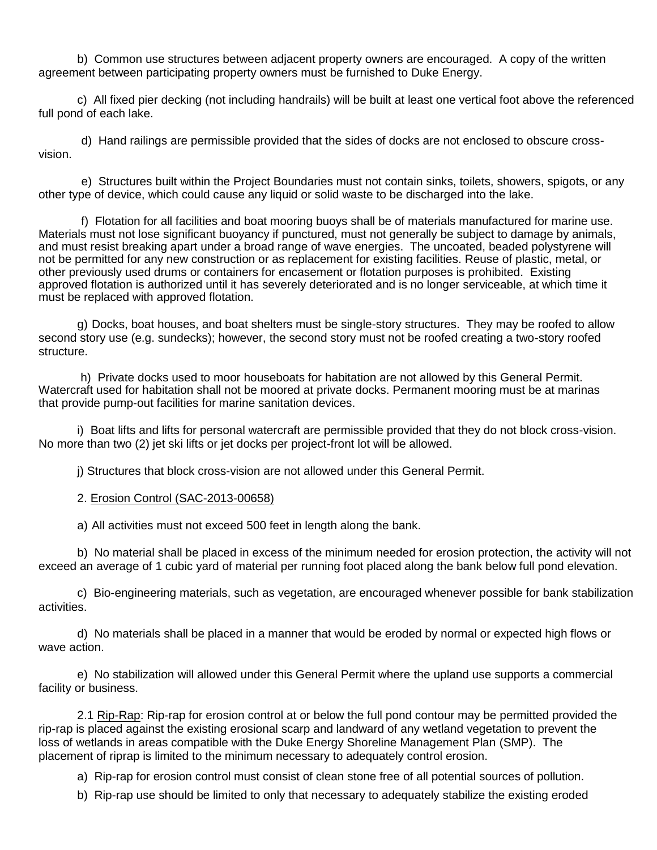b) Common use structures between adjacent property owners are encouraged. A copy of the written agreement between participating property owners must be furnished to Duke Energy.

c) All fixed pier decking (not including handrails) will be built at least one vertical foot above the referenced full pond of each lake.

 d) Hand railings are permissible provided that the sides of docks are not enclosed to obscure crossvision.

 e) Structures built within the Project Boundaries must not contain sinks, toilets, showers, spigots, or any other type of device, which could cause any liquid or solid waste to be discharged into the lake.

 f) Flotation for all facilities and boat mooring buoys shall be of materials manufactured for marine use. Materials must not lose significant buoyancy if punctured, must not generally be subject to damage by animals, and must resist breaking apart under a broad range of wave energies. The uncoated, beaded polystyrene will not be permitted for any new construction or as replacement for existing facilities. Reuse of plastic, metal, or other previously used drums or containers for encasement or flotation purposes is prohibited. Existing approved flotation is authorized until it has severely deteriorated and is no longer serviceable, at which time it must be replaced with approved flotation.

g) Docks, boat houses, and boat shelters must be single-story structures. They may be roofed to allow second story use (e.g. sundecks); however, the second story must not be roofed creating a two-story roofed structure.

h) Private docks used to moor houseboats for habitation are not allowed by this General Permit. Watercraft used for habitation shall not be moored at private docks. Permanent mooring must be at marinas that provide pump-out facilities for marine sanitation devices.

i) Boat lifts and lifts for personal watercraft are permissible provided that they do not block cross-vision. No more than two (2) jet ski lifts or jet docks per project-front lot will be allowed.

j) Structures that block cross-vision are not allowed under this General Permit.

### 2. Erosion Control (SAC-2013-00658)

a) All activities must not exceed 500 feet in length along the bank.

b) No material shall be placed in excess of the minimum needed for erosion protection, the activity will not exceed an average of 1 cubic yard of material per running foot placed along the bank below full pond elevation.

c) Bio-engineering materials, such as vegetation, are encouraged whenever possible for bank stabilization activities.

d) No materials shall be placed in a manner that would be eroded by normal or expected high flows or wave action.

e) No stabilization will allowed under this General Permit where the upland use supports a commercial facility or business.

2.1 Rip-Rap: Rip-rap for erosion control at or below the full pond contour may be permitted provided the rip-rap is placed against the existing erosional scarp and landward of any wetland vegetation to prevent the loss of wetlands in areas compatible with the Duke Energy Shoreline Management Plan (SMP). The placement of riprap is limited to the minimum necessary to adequately control erosion.

a) Rip-rap for erosion control must consist of clean stone free of all potential sources of pollution.

b) Rip-rap use should be limited to only that necessary to adequately stabilize the existing eroded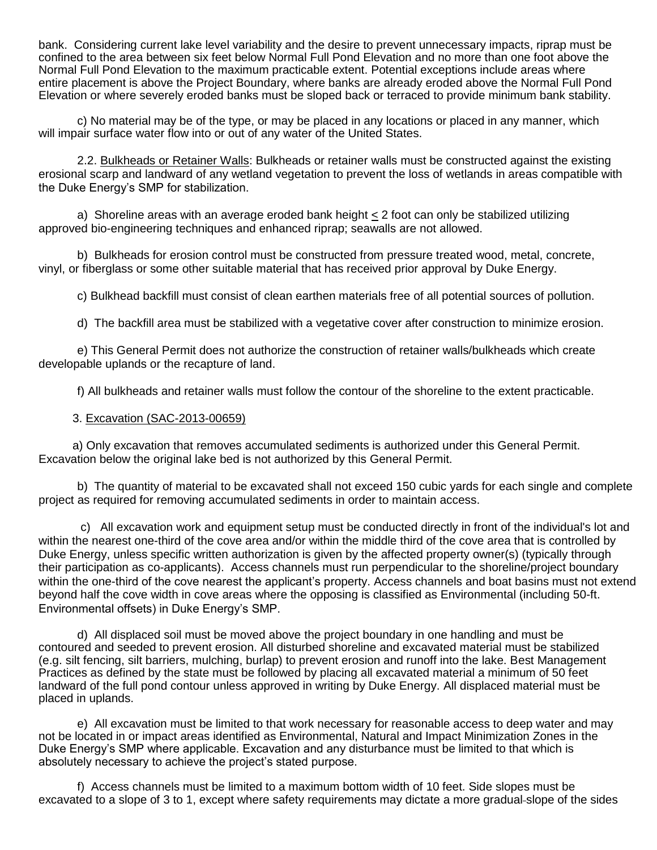bank. Considering current lake level variability and the desire to prevent unnecessary impacts, riprap must be confined to the area between six feet below Normal Full Pond Elevation and no more than one foot above the Normal Full Pond Elevation to the maximum practicable extent. Potential exceptions include areas where entire placement is above the Project Boundary, where banks are already eroded above the Normal Full Pond Elevation or where severely eroded banks must be sloped back or terraced to provide minimum bank stability.

c) No material may be of the type, or may be placed in any locations or placed in any manner, which will impair surface water flow into or out of any water of the United States.

2.2. Bulkheads or Retainer Walls: Bulkheads or retainer walls must be constructed against the existing erosional scarp and landward of any wetland vegetation to prevent the loss of wetlands in areas compatible with the Duke Energy's SMP for stabilization.

 a) Shoreline areas with an average eroded bank height < 2 foot can only be stabilized utilizing approved bio-engineering techniques and enhanced riprap; seawalls are not allowed.

b) Bulkheads for erosion control must be constructed from pressure treated wood, metal, concrete, vinyl, or fiberglass or some other suitable material that has received prior approval by Duke Energy.

c) Bulkhead backfill must consist of clean earthen materials free of all potential sources of pollution.

d) The backfill area must be stabilized with a vegetative cover after construction to minimize erosion.

e) This General Permit does not authorize the construction of retainer walls/bulkheads which create developable uplands or the recapture of land.

f) All bulkheads and retainer walls must follow the contour of the shoreline to the extent practicable.

### 3. Excavation (SAC-2013-00659)

a) Only excavation that removes accumulated sediments is authorized under this General Permit. Excavation below the original lake bed is not authorized by this General Permit.

b) The quantity of material to be excavated shall not exceed 150 cubic yards for each single and complete project as required for removing accumulated sediments in order to maintain access.

c) All excavation work and equipment setup must be conducted directly in front of the individual's lot and within the nearest one-third of the cove area and/or within the middle third of the cove area that is controlled by Duke Energy, unless specific written authorization is given by the affected property owner(s) (typically through their participation as co-applicants). Access channels must run perpendicular to the shoreline/project boundary within the one-third of the cove nearest the applicant's property. Access channels and boat basins must not extend beyond half the cove width in cove areas where the opposing is classified as Environmental (including 50-ft. Environmental offsets) in Duke Energy's SMP.

d) All displaced soil must be moved above the project boundary in one handling and must be contoured and seeded to prevent erosion. All disturbed shoreline and excavated material must be stabilized (e.g. silt fencing, silt barriers, mulching, burlap) to prevent erosion and runoff into the lake. Best Management Practices as defined by the state must be followed by placing all excavated material a minimum of 50 feet landward of the full pond contour unless approved in writing by Duke Energy. All displaced material must be placed in uplands.

e) All excavation must be limited to that work necessary for reasonable access to deep water and may not be located in or impact areas identified as Environmental, Natural and Impact Minimization Zones in the Duke Energy's SMP where applicable. Excavation and any disturbance must be limited to that which is absolutely necessary to achieve the project's stated purpose.

f) Access channels must be limited to a maximum bottom width of 10 feet. Side slopes must be excavated to a slope of 3 to 1, except where safety requirements may dictate a more gradual slope of the sides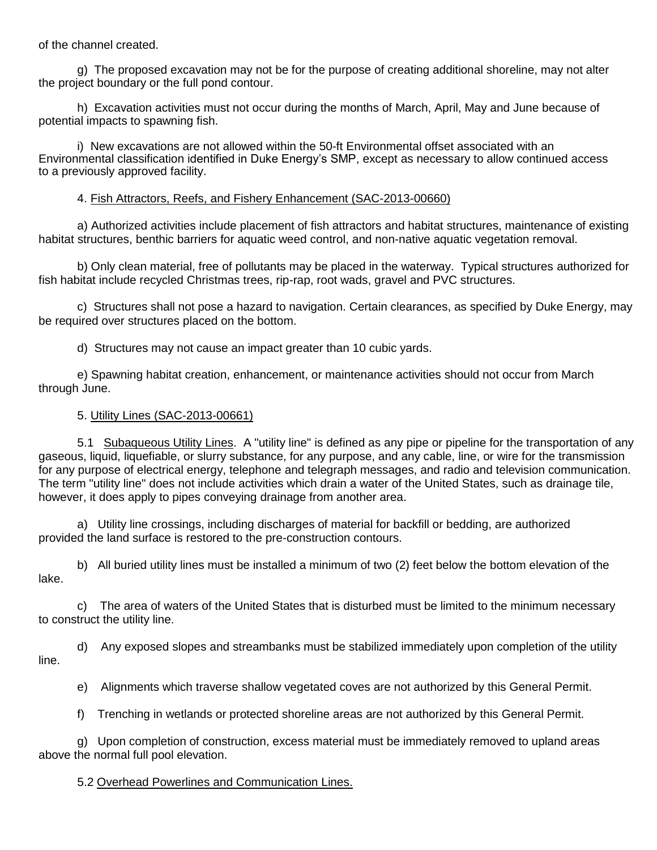of the channel created.

g) The proposed excavation may not be for the purpose of creating additional shoreline, may not alter the project boundary or the full pond contour.

h) Excavation activities must not occur during the months of March, April, May and June because of potential impacts to spawning fish.

i) New excavations are not allowed within the 50-ft Environmental offset associated with an Environmental classification identified in Duke Energy's SMP, except as necessary to allow continued access to a previously approved facility.

## 4. Fish Attractors, Reefs, and Fishery Enhancement (SAC-2013-00660)

a) Authorized activities include placement of fish attractors and habitat structures, maintenance of existing habitat structures, benthic barriers for aquatic weed control, and non-native aquatic vegetation removal.

b) Only clean material, free of pollutants may be placed in the waterway. Typical structures authorized for fish habitat include recycled Christmas trees, rip-rap, root wads, gravel and PVC structures.

c) Structures shall not pose a hazard to navigation. Certain clearances, as specified by Duke Energy, may be required over structures placed on the bottom.

d) Structures may not cause an impact greater than 10 cubic yards.

e) Spawning habitat creation, enhancement, or maintenance activities should not occur from March through June.

### 5. Utility Lines (SAC-2013-00661)

5.1 Subaqueous Utility Lines. A "utility line" is defined as any pipe or pipeline for the transportation of any gaseous, liquid, liquefiable, or slurry substance, for any purpose, and any cable, line, or wire for the transmission for any purpose of electrical energy, telephone and telegraph messages, and radio and television communication. The term "utility line" does not include activities which drain a water of the United States, such as drainage tile, however, it does apply to pipes conveying drainage from another area.

a) Utility line crossings, including discharges of material for backfill or bedding, are authorized provided the land surface is restored to the pre-construction contours.

b) All buried utility lines must be installed a minimum of two (2) feet below the bottom elevation of the lake.

c) The area of waters of the United States that is disturbed must be limited to the minimum necessary to construct the utility line.

d) Any exposed slopes and streambanks must be stabilized immediately upon completion of the utility line.

e) Alignments which traverse shallow vegetated coves are not authorized by this General Permit.

f) Trenching in wetlands or protected shoreline areas are not authorized by this General Permit.

g) Upon completion of construction, excess material must be immediately removed to upland areas above the normal full pool elevation.

### 5.2 Overhead Powerlines and Communication Lines.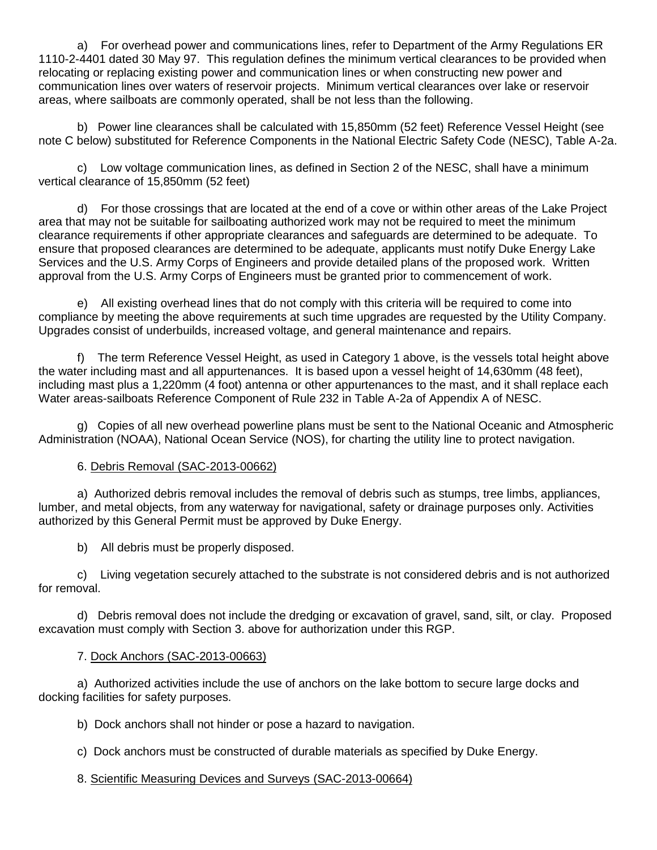a) For overhead power and communications lines, refer to Department of the Army Regulations ER 1110-2-4401 dated 30 May 97. This regulation defines the minimum vertical clearances to be provided when relocating or replacing existing power and communication lines or when constructing new power and communication lines over waters of reservoir projects. Minimum vertical clearances over lake or reservoir areas, where sailboats are commonly operated, shall be not less than the following.

b) Power line clearances shall be calculated with 15,850mm (52 feet) Reference Vessel Height (see note C below) substituted for Reference Components in the National Electric Safety Code (NESC), Table A-2a.

c) Low voltage communication lines, as defined in Section 2 of the NESC, shall have a minimum vertical clearance of 15,850mm (52 feet)

d) For those crossings that are located at the end of a cove or within other areas of the Lake Project area that may not be suitable for sailboating authorized work may not be required to meet the minimum clearance requirements if other appropriate clearances and safeguards are determined to be adequate. To ensure that proposed clearances are determined to be adequate, applicants must notify Duke Energy Lake Services and the U.S. Army Corps of Engineers and provide detailed plans of the proposed work. Written approval from the U.S. Army Corps of Engineers must be granted prior to commencement of work.

e) All existing overhead lines that do not comply with this criteria will be required to come into compliance by meeting the above requirements at such time upgrades are requested by the Utility Company. Upgrades consist of underbuilds, increased voltage, and general maintenance and repairs.

f) The term Reference Vessel Height, as used in Category 1 above, is the vessels total height above the water including mast and all appurtenances. It is based upon a vessel height of 14,630mm (48 feet), including mast plus a 1,220mm (4 foot) antenna or other appurtenances to the mast, and it shall replace each Water areas-sailboats Reference Component of Rule 232 in Table A-2a of Appendix A of NESC.

g) Copies of all new overhead powerline plans must be sent to the National Oceanic and Atmospheric Administration (NOAA), National Ocean Service (NOS), for charting the utility line to protect navigation.

## 6. Debris Removal (SAC-2013-00662)

a) Authorized debris removal includes the removal of debris such as stumps, tree limbs, appliances, lumber, and metal objects, from any waterway for navigational, safety or drainage purposes only. Activities authorized by this General Permit must be approved by Duke Energy.

b) All debris must be properly disposed.

c) Living vegetation securely attached to the substrate is not considered debris and is not authorized for removal.

d) Debris removal does not include the dredging or excavation of gravel, sand, silt, or clay. Proposed excavation must comply with Section 3. above for authorization under this RGP.

# 7. Dock Anchors (SAC-2013-00663)

a) Authorized activities include the use of anchors on the lake bottom to secure large docks and docking facilities for safety purposes.

b) Dock anchors shall not hinder or pose a hazard to navigation.

c) Dock anchors must be constructed of durable materials as specified by Duke Energy.

## 8. Scientific Measuring Devices and Surveys (SAC-2013-00664)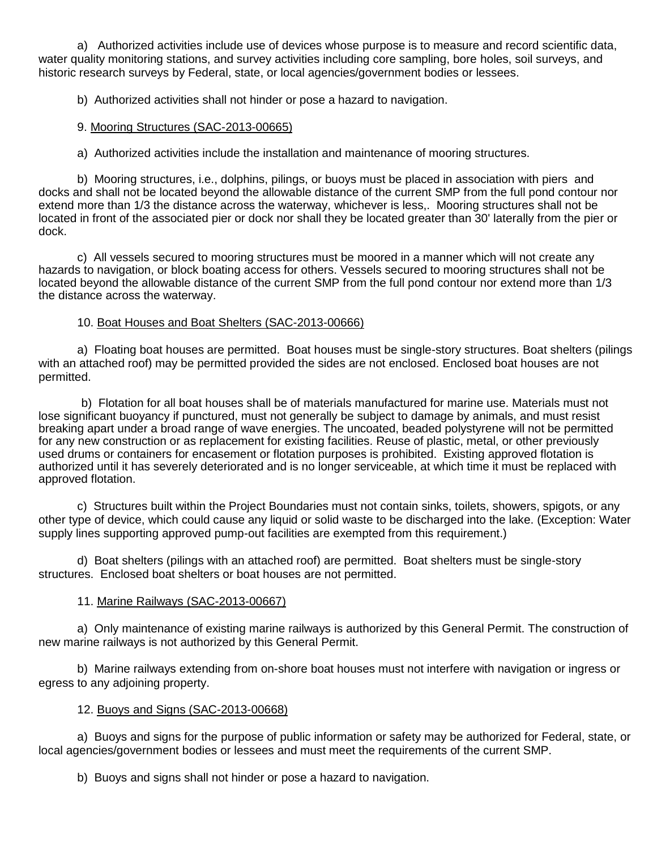a) Authorized activities include use of devices whose purpose is to measure and record scientific data, water quality monitoring stations, and survey activities including core sampling, bore holes, soil surveys, and historic research surveys by Federal, state, or local agencies/government bodies or lessees.

b) Authorized activities shall not hinder or pose a hazard to navigation.

## 9. Mooring Structures (SAC-2013-00665)

a) Authorized activities include the installation and maintenance of mooring structures.

b) Mooring structures, i.e., dolphins, pilings, or buoys must be placed in association with piers and docks and shall not be located beyond the allowable distance of the current SMP from the full pond contour nor extend more than 1/3 the distance across the waterway, whichever is less,. Mooring structures shall not be located in front of the associated pier or dock nor shall they be located greater than 30' laterally from the pier or dock.

c) All vessels secured to mooring structures must be moored in a manner which will not create any hazards to navigation, or block boating access for others. Vessels secured to mooring structures shall not be located beyond the allowable distance of the current SMP from the full pond contour nor extend more than 1/3 the distance across the waterway.

# 10. Boat Houses and Boat Shelters (SAC-2013-00666)

a) Floating boat houses are permitted. Boat houses must be single-story structures. Boat shelters (pilings with an attached roof) may be permitted provided the sides are not enclosed. Enclosed boat houses are not permitted.

 b) Flotation for all boat houses shall be of materials manufactured for marine use. Materials must not lose significant buoyancy if punctured, must not generally be subject to damage by animals, and must resist breaking apart under a broad range of wave energies. The uncoated, beaded polystyrene will not be permitted for any new construction or as replacement for existing facilities. Reuse of plastic, metal, or other previously used drums or containers for encasement or flotation purposes is prohibited. Existing approved flotation is authorized until it has severely deteriorated and is no longer serviceable, at which time it must be replaced with approved flotation.

c) Structures built within the Project Boundaries must not contain sinks, toilets, showers, spigots, or any other type of device, which could cause any liquid or solid waste to be discharged into the lake. (Exception: Water supply lines supporting approved pump-out facilities are exempted from this requirement.)

d) Boat shelters (pilings with an attached roof) are permitted. Boat shelters must be single-story structures. Enclosed boat shelters or boat houses are not permitted.

## 11. Marine Railways (SAC-2013-00667)

a) Only maintenance of existing marine railways is authorized by this General Permit. The construction of new marine railways is not authorized by this General Permit.

b) Marine railways extending from on-shore boat houses must not interfere with navigation or ingress or egress to any adjoining property.

## 12. Buoys and Signs (SAC-2013-00668)

a) Buoys and signs for the purpose of public information or safety may be authorized for Federal, state, or local agencies/government bodies or lessees and must meet the requirements of the current SMP.

b) Buoys and signs shall not hinder or pose a hazard to navigation.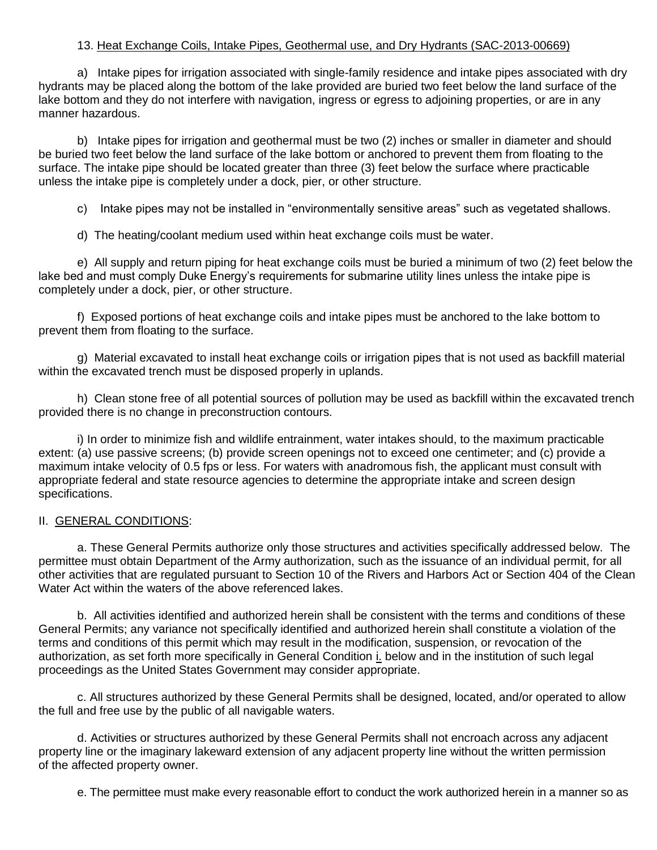## 13. Heat Exchange Coils, Intake Pipes, Geothermal use, and Dry Hydrants (SAC-2013-00669)

a) Intake pipes for irrigation associated with single-family residence and intake pipes associated with dry hydrants may be placed along the bottom of the lake provided are buried two feet below the land surface of the lake bottom and they do not interfere with navigation, ingress or egress to adjoining properties, or are in any manner hazardous.

b) Intake pipes for irrigation and geothermal must be two (2) inches or smaller in diameter and should be buried two feet below the land surface of the lake bottom or anchored to prevent them from floating to the surface. The intake pipe should be located greater than three (3) feet below the surface where practicable unless the intake pipe is completely under a dock, pier, or other structure.

c) Intake pipes may not be installed in "environmentally sensitive areas" such as vegetated shallows.

d) The heating/coolant medium used within heat exchange coils must be water.

e) All supply and return piping for heat exchange coils must be buried a minimum of two (2) feet below the lake bed and must comply Duke Energy's requirements for submarine utility lines unless the intake pipe is completely under a dock, pier, or other structure.

f) Exposed portions of heat exchange coils and intake pipes must be anchored to the lake bottom to prevent them from floating to the surface.

g) Material excavated to install heat exchange coils or irrigation pipes that is not used as backfill material within the excavated trench must be disposed properly in uplands.

h) Clean stone free of all potential sources of pollution may be used as backfill within the excavated trench provided there is no change in preconstruction contours.

i) In order to minimize fish and wildlife entrainment, water intakes should, to the maximum practicable extent: (a) use passive screens; (b) provide screen openings not to exceed one centimeter; and (c) provide a maximum intake velocity of 0.5 fps or less. For waters with anadromous fish, the applicant must consult with appropriate federal and state resource agencies to determine the appropriate intake and screen design specifications.

### II. GENERAL CONDITIONS:

a. These General Permits authorize only those structures and activities specifically addressed below. The permittee must obtain Department of the Army authorization, such as the issuance of an individual permit, for all other activities that are regulated pursuant to Section 10 of the Rivers and Harbors Act or Section 404 of the Clean Water Act within the waters of the above referenced lakes.

b. All activities identified and authorized herein shall be consistent with the terms and conditions of these General Permits; any variance not specifically identified and authorized herein shall constitute a violation of the terms and conditions of this permit which may result in the modification, suspension, or revocation of the authorization, as set forth more specifically in General Condition i. below and in the institution of such legal proceedings as the United States Government may consider appropriate.

c. All structures authorized by these General Permits shall be designed, located, and/or operated to allow the full and free use by the public of all navigable waters.

d. Activities or structures authorized by these General Permits shall not encroach across any adjacent property line or the imaginary lakeward extension of any adjacent property line without the written permission of the affected property owner.

e. The permittee must make every reasonable effort to conduct the work authorized herein in a manner so as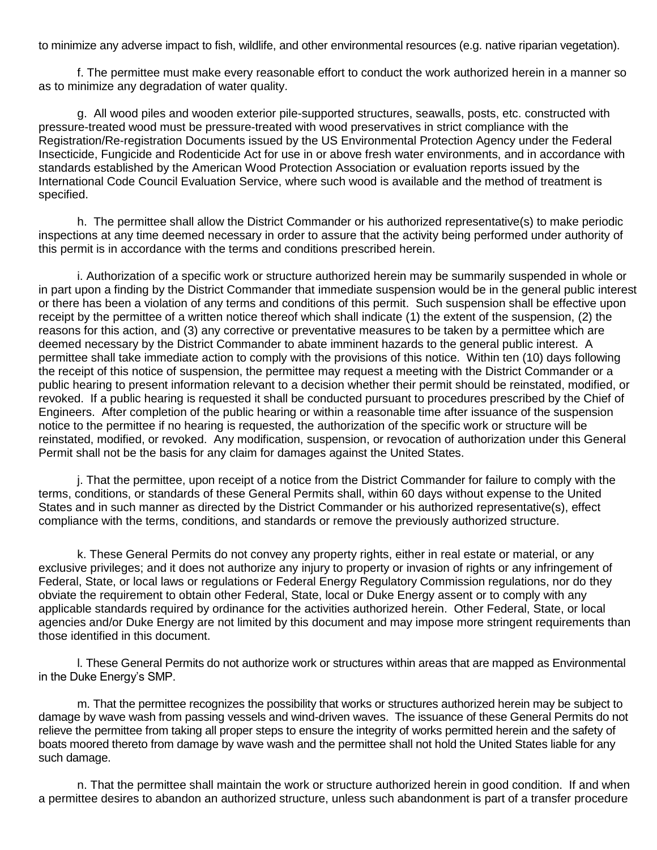to minimize any adverse impact to fish, wildlife, and other environmental resources (e.g. native riparian vegetation).

f. The permittee must make every reasonable effort to conduct the work authorized herein in a manner so as to minimize any degradation of water quality.

g. All wood piles and wooden exterior pile-supported structures, seawalls, posts, etc. constructed with pressure-treated wood must be pressure-treated with wood preservatives in strict compliance with the Registration/Re-registration Documents issued by the US Environmental Protection Agency under the Federal Insecticide, Fungicide and Rodenticide Act for use in or above fresh water environments, and in accordance with standards established by the American Wood Protection Association or evaluation reports issued by the International Code Council Evaluation Service, where such wood is available and the method of treatment is specified.

h. The permittee shall allow the District Commander or his authorized representative(s) to make periodic inspections at any time deemed necessary in order to assure that the activity being performed under authority of this permit is in accordance with the terms and conditions prescribed herein.

i. Authorization of a specific work or structure authorized herein may be summarily suspended in whole or in part upon a finding by the District Commander that immediate suspension would be in the general public interest or there has been a violation of any terms and conditions of this permit. Such suspension shall be effective upon receipt by the permittee of a written notice thereof which shall indicate (1) the extent of the suspension, (2) the reasons for this action, and (3) any corrective or preventative measures to be taken by a permittee which are deemed necessary by the District Commander to abate imminent hazards to the general public interest. A permittee shall take immediate action to comply with the provisions of this notice. Within ten (10) days following the receipt of this notice of suspension, the permittee may request a meeting with the District Commander or a public hearing to present information relevant to a decision whether their permit should be reinstated, modified, or revoked. If a public hearing is requested it shall be conducted pursuant to procedures prescribed by the Chief of Engineers. After completion of the public hearing or within a reasonable time after issuance of the suspension notice to the permittee if no hearing is requested, the authorization of the specific work or structure will be reinstated, modified, or revoked. Any modification, suspension, or revocation of authorization under this General Permit shall not be the basis for any claim for damages against the United States.

j. That the permittee, upon receipt of a notice from the District Commander for failure to comply with the terms, conditions, or standards of these General Permits shall, within 60 days without expense to the United States and in such manner as directed by the District Commander or his authorized representative(s), effect compliance with the terms, conditions, and standards or remove the previously authorized structure.

k. These General Permits do not convey any property rights, either in real estate or material, or any exclusive privileges; and it does not authorize any injury to property or invasion of rights or any infringement of Federal, State, or local laws or regulations or Federal Energy Regulatory Commission regulations, nor do they obviate the requirement to obtain other Federal, State, local or Duke Energy assent or to comply with any applicable standards required by ordinance for the activities authorized herein. Other Federal, State, or local agencies and/or Duke Energy are not limited by this document and may impose more stringent requirements than those identified in this document.

l. These General Permits do not authorize work or structures within areas that are mapped as Environmental in the Duke Energy's SMP.

m. That the permittee recognizes the possibility that works or structures authorized herein may be subject to damage by wave wash from passing vessels and wind-driven waves. The issuance of these General Permits do not relieve the permittee from taking all proper steps to ensure the integrity of works permitted herein and the safety of boats moored thereto from damage by wave wash and the permittee shall not hold the United States liable for any such damage.

n. That the permittee shall maintain the work or structure authorized herein in good condition. If and when a permittee desires to abandon an authorized structure, unless such abandonment is part of a transfer procedure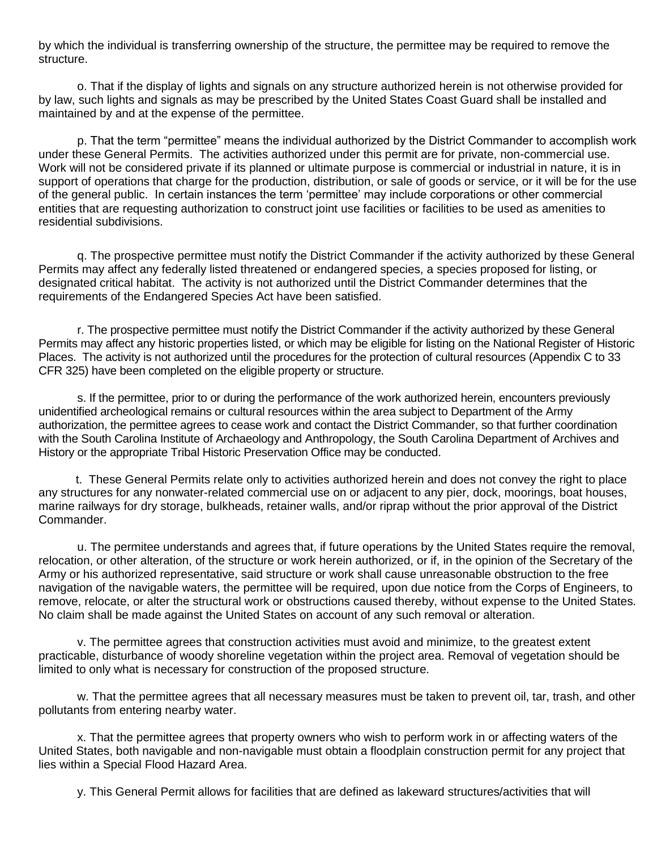by which the individual is transferring ownership of the structure, the permittee may be required to remove the structure.

o. That if the display of lights and signals on any structure authorized herein is not otherwise provided for by law, such lights and signals as may be prescribed by the United States Coast Guard shall be installed and maintained by and at the expense of the permittee.

p. That the term "permittee" means the individual authorized by the District Commander to accomplish work under these General Permits. The activities authorized under this permit are for private, non-commercial use. Work will not be considered private if its planned or ultimate purpose is commercial or industrial in nature, it is in support of operations that charge for the production, distribution, or sale of goods or service, or it will be for the use of the general public. In certain instances the term 'permittee' may include corporations or other commercial entities that are requesting authorization to construct joint use facilities or facilities to be used as amenities to residential subdivisions.

q. The prospective permittee must notify the District Commander if the activity authorized by these General Permits may affect any federally listed threatened or endangered species, a species proposed for listing, or designated critical habitat. The activity is not authorized until the District Commander determines that the requirements of the Endangered Species Act have been satisfied.

r. The prospective permittee must notify the District Commander if the activity authorized by these General Permits may affect any historic properties listed, or which may be eligible for listing on the National Register of Historic Places. The activity is not authorized until the procedures for the protection of cultural resources (Appendix C to 33 CFR 325) have been completed on the eligible property or structure.

s. If the permittee, prior to or during the performance of the work authorized herein, encounters previously unidentified archeological remains or cultural resources within the area subject to Department of the Army authorization, the permittee agrees to cease work and contact the District Commander, so that further coordination with the South Carolina Institute of Archaeology and Anthropology, the South Carolina Department of Archives and History or the appropriate Tribal Historic Preservation Office may be conducted.

t. These General Permits relate only to activities authorized herein and does not convey the right to place any structures for any nonwater-related commercial use on or adjacent to any pier, dock, moorings, boat houses, marine railways for dry storage, bulkheads, retainer walls, and/or riprap without the prior approval of the District Commander.

u. The permitee understands and agrees that, if future operations by the United States require the removal, relocation, or other alteration, of the structure or work herein authorized, or if, in the opinion of the Secretary of the Army or his authorized representative, said structure or work shall cause unreasonable obstruction to the free navigation of the navigable waters, the permittee will be required, upon due notice from the Corps of Engineers, to remove, relocate, or alter the structural work or obstructions caused thereby, without expense to the United States. No claim shall be made against the United States on account of any such removal or alteration.

v. The permittee agrees that construction activities must avoid and minimize, to the greatest extent practicable, disturbance of woody shoreline vegetation within the project area. Removal of vegetation should be limited to only what is necessary for construction of the proposed structure.

w. That the permittee agrees that all necessary measures must be taken to prevent oil, tar, trash, and other pollutants from entering nearby water.

x. That the permittee agrees that property owners who wish to perform work in or affecting waters of the United States, both navigable and non-navigable must obtain a floodplain construction permit for any project that lies within a Special Flood Hazard Area.

y. This General Permit allows for facilities that are defined as lakeward structures/activities that will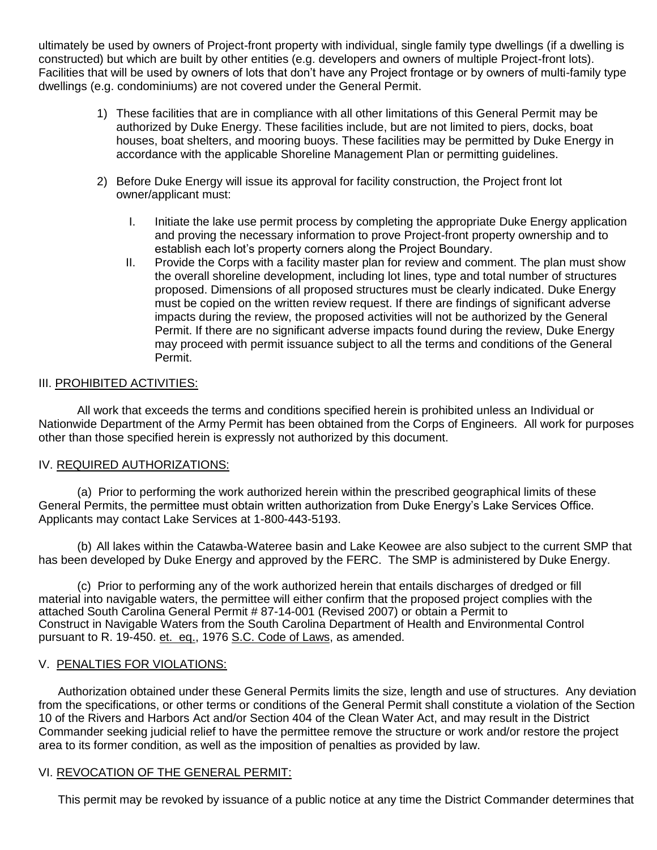ultimately be used by owners of Project-front property with individual, single family type dwellings (if a dwelling is constructed) but which are built by other entities (e.g. developers and owners of multiple Project-front lots). Facilities that will be used by owners of lots that don't have any Project frontage or by owners of multi-family type dwellings (e.g. condominiums) are not covered under the General Permit.

- 1) These facilities that are in compliance with all other limitations of this General Permit may be authorized by Duke Energy. These facilities include, but are not limited to piers, docks, boat houses, boat shelters, and mooring buoys. These facilities may be permitted by Duke Energy in accordance with the applicable Shoreline Management Plan or permitting guidelines.
- 2) Before Duke Energy will issue its approval for facility construction, the Project front lot owner/applicant must:
	- I. Initiate the lake use permit process by completing the appropriate Duke Energy application and proving the necessary information to prove Project-front property ownership and to establish each lot's property corners along the Project Boundary.
	- II. Provide the Corps with a facility master plan for review and comment. The plan must show the overall shoreline development, including lot lines, type and total number of structures proposed. Dimensions of all proposed structures must be clearly indicated. Duke Energy must be copied on the written review request. If there are findings of significant adverse impacts during the review, the proposed activities will not be authorized by the General Permit. If there are no significant adverse impacts found during the review, Duke Energy may proceed with permit issuance subject to all the terms and conditions of the General Permit.

## III. PROHIBITED ACTIVITIES:

All work that exceeds the terms and conditions specified herein is prohibited unless an Individual or Nationwide Department of the Army Permit has been obtained from the Corps of Engineers. All work for purposes other than those specified herein is expressly not authorized by this document.

## IV. REQUIRED AUTHORIZATIONS:

(a) Prior to performing the work authorized herein within the prescribed geographical limits of these General Permits, the permittee must obtain written authorization from Duke Energy's Lake Services Office. Applicants may contact Lake Services at 1-800-443-5193.

(b) All lakes within the Catawba-Wateree basin and Lake Keowee are also subject to the current SMP that has been developed by Duke Energy and approved by the FERC. The SMP is administered by Duke Energy.

(c) Prior to performing any of the work authorized herein that entails discharges of dredged or fill material into navigable waters, the permittee will either confirm that the proposed project complies with the attached South Carolina General Permit # 87-14-001 (Revised 2007) or obtain a Permit to Construct in Navigable Waters from the South Carolina Department of Health and Environmental Control pursuant to R. 19-450. et. eq., 1976 S.C. Code of Laws, as amended.

## V. PENALTIES FOR VIOLATIONS:

Authorization obtained under these General Permits limits the size, length and use of structures. Any deviation from the specifications, or other terms or conditions of the General Permit shall constitute a violation of the Section 10 of the Rivers and Harbors Act and/or Section 404 of the Clean Water Act, and may result in the District Commander seeking judicial relief to have the permittee remove the structure or work and/or restore the project area to its former condition, as well as the imposition of penalties as provided by law.

## VI. REVOCATION OF THE GENERAL PERMIT:

This permit may be revoked by issuance of a public notice at any time the District Commander determines that